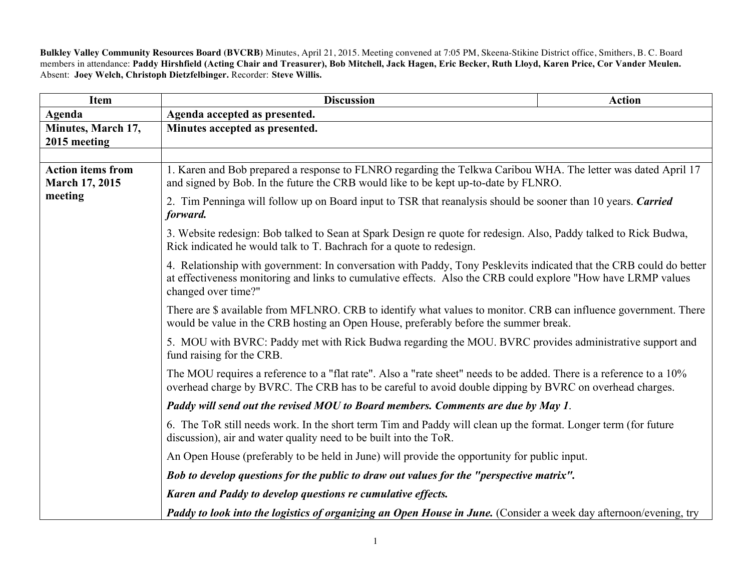**Bulkley Valley Community Resources Board (BVCRB)** Minutes, April 21, 2015. Meeting convened at 7:05 PM, Skeena-Stikine District office, Smithers, B. C. Board members in attendance: **Paddy Hirshfield (Acting Chair and Treasurer), Bob Mitchell, Jack Hagen, Eric Becker, Ruth Lloyd, Karen Price, Cor Vander Meulen.** Absent: **Joey Welch, Christoph Dietzfelbinger.** Recorder: **Steve Willis.**

| Item                                              | <b>Discussion</b>                                                                                                                                                                                                                                                                                                                                                                                                                                                                                                                                                                                                                                                                                                                                                                                          | <b>Action</b>                                                                                                                                                                                                                  |  |
|---------------------------------------------------|------------------------------------------------------------------------------------------------------------------------------------------------------------------------------------------------------------------------------------------------------------------------------------------------------------------------------------------------------------------------------------------------------------------------------------------------------------------------------------------------------------------------------------------------------------------------------------------------------------------------------------------------------------------------------------------------------------------------------------------------------------------------------------------------------------|--------------------------------------------------------------------------------------------------------------------------------------------------------------------------------------------------------------------------------|--|
| Agenda                                            | Agenda accepted as presented.                                                                                                                                                                                                                                                                                                                                                                                                                                                                                                                                                                                                                                                                                                                                                                              |                                                                                                                                                                                                                                |  |
| Minutes, March 17,                                | Minutes accepted as presented.                                                                                                                                                                                                                                                                                                                                                                                                                                                                                                                                                                                                                                                                                                                                                                             |                                                                                                                                                                                                                                |  |
| 2015 meeting                                      |                                                                                                                                                                                                                                                                                                                                                                                                                                                                                                                                                                                                                                                                                                                                                                                                            |                                                                                                                                                                                                                                |  |
| <b>Action items from</b><br><b>March 17, 2015</b> | 1. Karen and Bob prepared a response to FLNRO regarding the Telkwa Caribou WHA. The letter was dated April 17<br>and signed by Bob. In the future the CRB would like to be kept up-to-date by FLNRO.                                                                                                                                                                                                                                                                                                                                                                                                                                                                                                                                                                                                       |                                                                                                                                                                                                                                |  |
| meeting                                           | 2. Tim Penninga will follow up on Board input to TSR that reanalysis should be sooner than 10 years. Carried<br>forward.                                                                                                                                                                                                                                                                                                                                                                                                                                                                                                                                                                                                                                                                                   |                                                                                                                                                                                                                                |  |
|                                                   | 3. Website redesign: Bob talked to Sean at Spark Design re quote for redesign. Also, Paddy talked to Rick Budwa,<br>Rick indicated he would talk to T. Bachrach for a quote to redesign.<br>4. Relationship with government: In conversation with Paddy, Tony Pesklevits indicated that the CRB could do better<br>at effectiveness monitoring and links to cumulative effects. Also the CRB could explore "How have LRMP values<br>changed over time?"<br>There are \$ available from MFLNRO. CRB to identify what values to monitor. CRB can influence government. There<br>would be value in the CRB hosting an Open House, preferably before the summer break.<br>5. MOU with BVRC: Paddy met with Rick Budwa regarding the MOU. BVRC provides administrative support and<br>fund raising for the CRB. |                                                                                                                                                                                                                                |  |
|                                                   |                                                                                                                                                                                                                                                                                                                                                                                                                                                                                                                                                                                                                                                                                                                                                                                                            |                                                                                                                                                                                                                                |  |
|                                                   |                                                                                                                                                                                                                                                                                                                                                                                                                                                                                                                                                                                                                                                                                                                                                                                                            |                                                                                                                                                                                                                                |  |
|                                                   |                                                                                                                                                                                                                                                                                                                                                                                                                                                                                                                                                                                                                                                                                                                                                                                                            |                                                                                                                                                                                                                                |  |
|                                                   |                                                                                                                                                                                                                                                                                                                                                                                                                                                                                                                                                                                                                                                                                                                                                                                                            | The MOU requires a reference to a "flat rate". Also a "rate sheet" needs to be added. There is a reference to a 10%<br>overhead charge by BVRC. The CRB has to be careful to avoid double dipping by BVRC on overhead charges. |  |
|                                                   | Paddy will send out the revised MOU to Board members. Comments are due by May 1.                                                                                                                                                                                                                                                                                                                                                                                                                                                                                                                                                                                                                                                                                                                           |                                                                                                                                                                                                                                |  |
|                                                   | 6. The ToR still needs work. In the short term Tim and Paddy will clean up the format. Longer term (for future<br>discussion), air and water quality need to be built into the ToR.                                                                                                                                                                                                                                                                                                                                                                                                                                                                                                                                                                                                                        |                                                                                                                                                                                                                                |  |
|                                                   | An Open House (preferably to be held in June) will provide the opportunity for public input.                                                                                                                                                                                                                                                                                                                                                                                                                                                                                                                                                                                                                                                                                                               |                                                                                                                                                                                                                                |  |
|                                                   | Bob to develop questions for the public to draw out values for the "perspective matrix".<br>Karen and Paddy to develop questions re cumulative effects.                                                                                                                                                                                                                                                                                                                                                                                                                                                                                                                                                                                                                                                    |                                                                                                                                                                                                                                |  |
|                                                   |                                                                                                                                                                                                                                                                                                                                                                                                                                                                                                                                                                                                                                                                                                                                                                                                            |                                                                                                                                                                                                                                |  |
|                                                   | Paddy to look into the logistics of organizing an Open House in June. (Consider a week day afternoon/evening, try                                                                                                                                                                                                                                                                                                                                                                                                                                                                                                                                                                                                                                                                                          |                                                                                                                                                                                                                                |  |